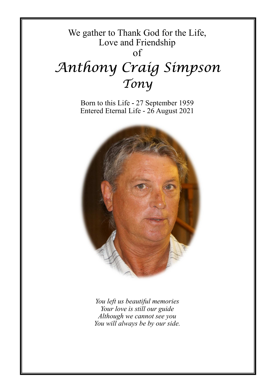# We gather to Thank God for the Life, Love and Friendship

of

# Anthony Craig Simpson Tony

Born to this Life **-** 27 September 1959 Entered Eternal Life - 26 August 2021



*You left us beautiful memories Your love is still our guide Although we cannot see you You will always be by our side.*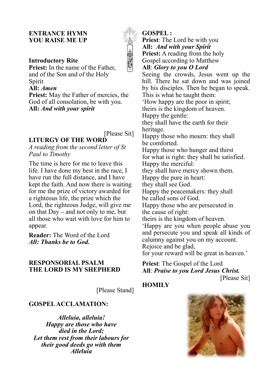#### **ENTRANCE HYMN YOU RAISE ME UP**

#### **Introductory Rite**

**Priest:** In the name of the Father, and of the Son and of the Holy Spirit

# **All:** *Amen*

**Priest:** May the Father of mercies, the God of all consolation, be with you. **All:** *And with your spirit*

[Please Sit]

# **LITURGY OF THE WORD**

*A reading from the second letter of St Paul to Timothy*

The time is here for me to leave this life. I have done my best in the race, I have run the full distance, and I have kept the faith. And now there is waiting for me the prize of victory awarded for a righteous life, the prize which the Lord, the righteous Judge, will give me on that Day – and not only to me, but all those who wait with love for him to appear.

**Reader:** The Word of the Lord *All: Thanks be to God.*

#### **RESPONSORIAL PSALM THE LORD IS MY SHEPHERD**

[Please Stand]

#### **GOSPEL ACCLAMATION:**

*Alleluia, alleluia! Happy are those who have died in the Lord; Let them rest from their labours for their good deeds go with them Alleluia*

**GOSPEL :** 

**Priest**: The Lord be with you **All:** *And with your Spirit* **Priest:** A reading from the holy Gospel according to Matthew

**All**: *Glory to you O Lord*

Seeing the crowds, Jesus went up the hill. There he sat down and was joined by his disciples. Then he began to speak. This is what he taught them: 'How happy are the poor in spirit; theirs is the kingdom of heaven. Happy the gentle: they shall have the earth for their heritage. Happy those who mourn: they shall be comforted. Happy those who hunger and thirst for what is right: they shall be satisfied. Happy the merciful: they shall have mercy shown them. Happy the pure in heart: they shall see God. Happy the peacemakers: they shall be called sons of God. Happy those who are persecuted in the cause of right: theirs is the kingdom of heaven. 'Happy are you when people abuse you and persecute you and speak all kinds of calumny against you on my account. Rejoice and be glad,

for your reward will be great in heaven.'

**Priest**: The Gospel of the Lord **All**: *Praise to you Lord Jesus Christ.*

## **HOMILY**



[Please Sit]

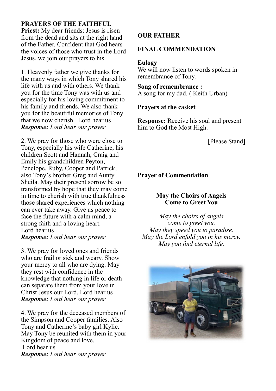# **PRAYERS OF THE FAITHFUL**

**Priest:** My dear friends: Jesus is risen from the dead and sits at the right hand of the Father. Confident that God hears the voices of those who trust in the Lord Jesus, we join our prayers to his.

1. Heavenly father we give thanks for the many ways in which Tony shared his life with us and with others. We thank you for the time Tony was with us and especially for his loving commitment to his family and friends. We also thank you for the beautiful memories of Tony that we now cherish. Lord hear us *Response: Lord hear our prayer*

2. We pray for those who were close to Tony, especially his wife Catherine, his children Scott and Hannah, Craig and Emily his grandchildren Peyton, Penelope, Ruby, Cooper and Patrick, also Tony's brother Greg and Aunty Sheila. May their present sorrow be so transformed by hope that they may come in time to cherish with true thankfulness those shared experiences which nothing can ever take away. Give us peace to face the future with a calm mind, a strong faith and a loving heart. Lord hear us *Response: Lord hear our prayer*

3. We pray for loved ones and friends who are frail or sick and weary. Show your mercy to all who are dying. May they rest with confidence in the knowledge that nothing in life or death can separate them from your love in Christ Jesus our Lord. Lord hear us *Response: Lord hear our prayer*

4. We pray for the deceased members of the Simpson and Cooper families. Also Tony and Catherine's baby girl Kylie. May Tony be reunited with them in your Kingdom of peace and love. Lord hear us *Response: Lord hear our prayer*

# **OUR FATHER**

# **FINAL COMMENDATION**

#### **Eulogy**

We will now listen to words spoken in remembrance of Tony.

**Song of remembrance :** A song for my dad. ( Keith Urban)

#### **Prayers at the casket**

**Response:** Receive his soul and present him to God the Most High.

[Please Stand]

# **Prayer of Commendation**

### **May the Choirs of Angels Come to Greet You**

*May the choirs of angels come to greet you. May they speed you to paradise. May the Lord enfold you in his mercy. May you find eternal life.*